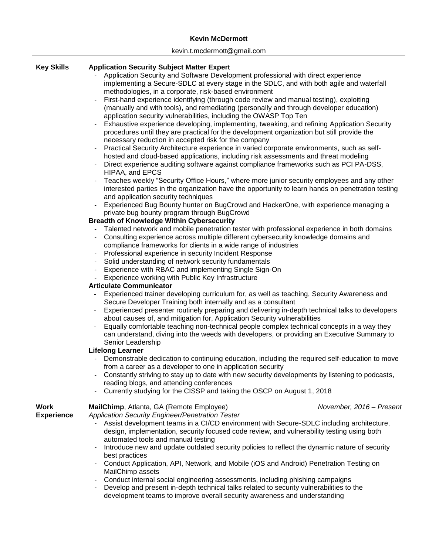## **Kevin McDermott**

#### kevin.t.mcdermott@gmail.com

# **Key Skills Application Security Subject Matter Expert**

- Application Security and Software Development professional with direct experience implementing a Secure-SDLC at every stage in the SDLC, and with both agile and waterfall methodologies, in a corporate, risk-based environment
- First-hand experience identifying (through code review and manual testing), exploiting (manually and with tools), and remediating (personally and through developer education) application security vulnerabilities, including the OWASP Top Ten
- Exhaustive experience developing, implementing, tweaking, and refining Application Security procedures until they are practical for the development organization but still provide the necessary reduction in accepted risk for the company
- Practical Security Architecture experience in varied corporate environments, such as selfhosted and cloud-based applications, including risk assessments and threat modeling
- Direct experience auditing software against compliance frameworks such as PCI PA-DSS, HIPAA, and EPCS
- Teaches weekly "Security Office Hours," where more junior security employees and any other interested parties in the organization have the opportunity to learn hands on penetration testing and application security techniques
- Experienced Bug Bounty hunter on BugCrowd and HackerOne, with experience managing a private bug bounty program through BugCrowd

## **Breadth of Knowledge Within Cybersecurity**

- Talented network and mobile penetration tester with professional experience in both domains
- Consulting experience across multiple different cybersecurity knowledge domains and compliance frameworks for clients in a wide range of industries
- Professional experience in security Incident Response
- Solid understanding of network security fundamentals
- Experience with RBAC and implementing Single Sign-On
- Experience working with Public Key Infrastructure

## **Articulate Communicator**

- Experienced trainer developing curriculum for, as well as teaching, Security Awareness and Secure Developer Training both internally and as a consultant
- Experienced presenter routinely preparing and delivering in-depth technical talks to developers about causes of, and mitigation for, Application Security vulnerabilities
- Equally comfortable teaching non-technical people complex technical concepts in a way they can understand, diving into the weeds with developers, or providing an Executive Summary to Senior Leadership

## **Lifelong Learner**

- Demonstrable dedication to continuing education, including the required self-education to move from a career as a developer to one in application security
- Constantly striving to stay up to date with new security developments by listening to podcasts, reading blogs, and attending conferences
- Currently studying for the CISSP and taking the OSCP on August 1, 2018

| Work              | MailChimp, Atlanta, GA (Remote Employee)                                                                                                                                                                                       | November, 2016 - Present |
|-------------------|--------------------------------------------------------------------------------------------------------------------------------------------------------------------------------------------------------------------------------|--------------------------|
| <b>Experience</b> | Application Security Engineer/Penetration Tester                                                                                                                                                                               |                          |
|                   | - Assist development teams in a CI/CD environment with Secure-SDLC including architecture,<br>design, implementation, security focused code review, and vulnerability testing using both<br>automated tools and manual testing |                          |
|                   | - Introduce new and update outdated security policies to reflect the dynamic nature of security<br>best practices                                                                                                              |                          |
|                   | - Conduct Application, API, Network, and Mobile (iOS and Android) Penetration Testing on<br>MailChimp assets                                                                                                                   |                          |
|                   | - Conduct internal social engineering assessments, including phishing campaigns                                                                                                                                                |                          |

- Develop and present in-depth technical talks related to security vulnerabilities to the development teams to improve overall security awareness and understanding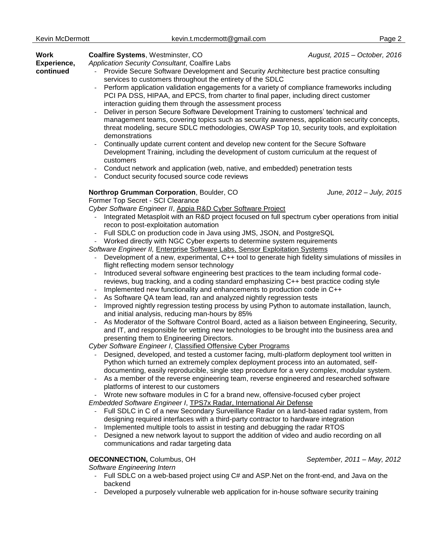| Work<br>Experience,<br>continued | Coalfire Systems, Westminster, CO<br>August, 2015 - October, 2016<br>Application Security Consultant, Coalfire Labs<br>Provide Secure Software Development and Security Architecture best practice consulting<br>services to customers throughout the entirety of the SDLC<br>Perform application validation engagements for a variety of compliance frameworks including<br>PCI PA DSS, HIPAA, and EPCS, from charter to final paper, including direct customer<br>interaction guiding them through the assessment process<br>Deliver in person Secure Software Development Training to customers' technical and<br>management teams, covering topics such as security awareness, application security concepts,<br>threat modeling, secure SDLC methodologies, OWASP Top 10, security tools, and exploitation<br>demonstrations<br>Continually update current content and develop new content for the Secure Software<br>Development Training, including the development of custom curriculum at the request of<br>customers<br>Conduct network and application (web, native, and embedded) penetration tests<br>Conduct security focused source code reviews |                             |  |
|----------------------------------|-----------------------------------------------------------------------------------------------------------------------------------------------------------------------------------------------------------------------------------------------------------------------------------------------------------------------------------------------------------------------------------------------------------------------------------------------------------------------------------------------------------------------------------------------------------------------------------------------------------------------------------------------------------------------------------------------------------------------------------------------------------------------------------------------------------------------------------------------------------------------------------------------------------------------------------------------------------------------------------------------------------------------------------------------------------------------------------------------------------------------------------------------------------------|-----------------------------|--|
|                                  | Northrop Grumman Corporation, Boulder, CO<br>Former Top Secret - SCI Clearance<br>Cyber Software Engineer II, Appia R&D Cyber Software Project                                                                                                                                                                                                                                                                                                                                                                                                                                                                                                                                                                                                                                                                                                                                                                                                                                                                                                                                                                                                                  | June, 2012 - July, 2015     |  |
|                                  | Integrated Metasploit with an R&D project focused on full spectrum cyber operations from initial<br>recon to post-exploitation automation<br>Full SDLC on production code in Java using JMS, JSON, and PostgreSQL                                                                                                                                                                                                                                                                                                                                                                                                                                                                                                                                                                                                                                                                                                                                                                                                                                                                                                                                               |                             |  |
|                                  | Worked directly with NGC Cyber experts to determine system requirements                                                                                                                                                                                                                                                                                                                                                                                                                                                                                                                                                                                                                                                                                                                                                                                                                                                                                                                                                                                                                                                                                         |                             |  |
|                                  | Software Engineer II, Enterprise Software Labs, Sensor Exploitation Systems                                                                                                                                                                                                                                                                                                                                                                                                                                                                                                                                                                                                                                                                                                                                                                                                                                                                                                                                                                                                                                                                                     |                             |  |
|                                  | Development of a new, experimental, C++ tool to generate high fidelity simulations of missiles in<br>flight reflecting modern sensor technology                                                                                                                                                                                                                                                                                                                                                                                                                                                                                                                                                                                                                                                                                                                                                                                                                                                                                                                                                                                                                 |                             |  |
|                                  | Introduced several software engineering best practices to the team including formal code-<br>reviews, bug tracking, and a coding standard emphasizing C++ best practice coding style                                                                                                                                                                                                                                                                                                                                                                                                                                                                                                                                                                                                                                                                                                                                                                                                                                                                                                                                                                            |                             |  |
|                                  | Implemented new functionality and enhancements to production code in C++<br>As Software QA team lead, ran and analyzed nightly regression tests<br>Improved nightly regression testing process by using Python to automate installation, launch,<br>and initial analysis, reducing man-hours by 85%                                                                                                                                                                                                                                                                                                                                                                                                                                                                                                                                                                                                                                                                                                                                                                                                                                                             |                             |  |
|                                  |                                                                                                                                                                                                                                                                                                                                                                                                                                                                                                                                                                                                                                                                                                                                                                                                                                                                                                                                                                                                                                                                                                                                                                 |                             |  |
|                                  |                                                                                                                                                                                                                                                                                                                                                                                                                                                                                                                                                                                                                                                                                                                                                                                                                                                                                                                                                                                                                                                                                                                                                                 |                             |  |
|                                  | As Moderator of the Software Control Board, acted as a liaison between Engineering, Security,<br>and IT, and responsible for vetting new technologies to be brought into the business area and<br>presenting them to Engineering Directors.                                                                                                                                                                                                                                                                                                                                                                                                                                                                                                                                                                                                                                                                                                                                                                                                                                                                                                                     |                             |  |
|                                  | Cyber Software Engineer I, Classified Offensive Cyber Programs                                                                                                                                                                                                                                                                                                                                                                                                                                                                                                                                                                                                                                                                                                                                                                                                                                                                                                                                                                                                                                                                                                  |                             |  |
|                                  | Designed, developed, and tested a customer facing, multi-platform deployment tool written in<br>Python which turned an extremely complex deployment process into an automated, self-                                                                                                                                                                                                                                                                                                                                                                                                                                                                                                                                                                                                                                                                                                                                                                                                                                                                                                                                                                            |                             |  |
|                                  | documenting, easily reproducible, single step procedure for a very complex, modular system.<br>As a member of the reverse engineering team, reverse engineered and researched software<br>platforms of interest to our customers                                                                                                                                                                                                                                                                                                                                                                                                                                                                                                                                                                                                                                                                                                                                                                                                                                                                                                                                |                             |  |
|                                  | Wrote new software modules in C for a brand new, offensive-focused cyber project                                                                                                                                                                                                                                                                                                                                                                                                                                                                                                                                                                                                                                                                                                                                                                                                                                                                                                                                                                                                                                                                                |                             |  |
|                                  | Embedded Software Engineer I, TPS7x Radar, International Air Defense                                                                                                                                                                                                                                                                                                                                                                                                                                                                                                                                                                                                                                                                                                                                                                                                                                                                                                                                                                                                                                                                                            |                             |  |
|                                  | Full SDLC in C of a new Secondary Surveillance Radar on a land-based radar system, from<br>designing required interfaces with a third-party contractor to hardware integration                                                                                                                                                                                                                                                                                                                                                                                                                                                                                                                                                                                                                                                                                                                                                                                                                                                                                                                                                                                  |                             |  |
|                                  | Implemented multiple tools to assist in testing and debugging the radar RTOS                                                                                                                                                                                                                                                                                                                                                                                                                                                                                                                                                                                                                                                                                                                                                                                                                                                                                                                                                                                                                                                                                    |                             |  |
|                                  | Designed a new network layout to support the addition of video and audio recording on all<br>communications and radar targeting data                                                                                                                                                                                                                                                                                                                                                                                                                                                                                                                                                                                                                                                                                                                                                                                                                                                                                                                                                                                                                            |                             |  |
|                                  | <b>OECONNECTION, Columbus, OH</b>                                                                                                                                                                                                                                                                                                                                                                                                                                                                                                                                                                                                                                                                                                                                                                                                                                                                                                                                                                                                                                                                                                                               | September, 2011 - May, 2012 |  |
|                                  | Software Engineering Intern<br>Full SDLC on a web-based project using C# and ASP. Net on the front-end, and Java on the                                                                                                                                                                                                                                                                                                                                                                                                                                                                                                                                                                                                                                                                                                                                                                                                                                                                                                                                                                                                                                         |                             |  |

backend - Developed a purposely vulnerable web application for in-house software security training